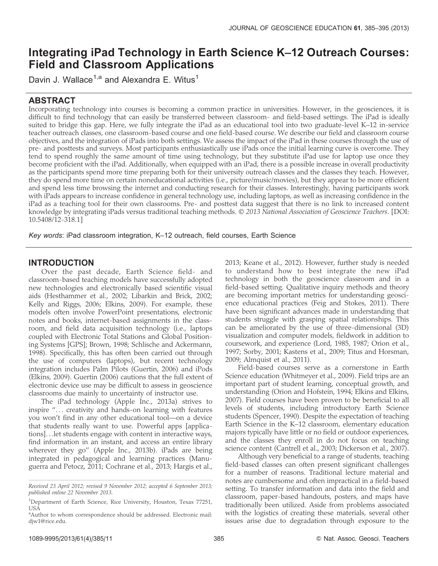# Integrating iPad Technology in Earth Science K–12 Outreach Courses: Field and Classroom Applications

Davin J. Wallace<sup>1,a</sup> and Alexandra E. Witus<sup>1</sup>

# ABSTRACT

Incorporating technology into courses is becoming a common practice in universities. However, in the geosciences, it is difficult to find technology that can easily be transferred between classroom- and field-based settings. The iPad is ideally suited to bridge this gap. Here, we fully integrate the iPad as an educational tool into two graduate-level K–12 in-service teacher outreach classes, one classroom-based course and one field-based course. We describe our field and classroom course objectives, and the integration of iPads into both settings. We assess the impact of the iPad in these courses through the use of pre- and posttests and surveys. Most participants enthusiastically use iPads once the initial learning curve is overcome. They tend to spend roughly the same amount of time using technology, but they substitute iPad use for laptop use once they become proficient with the iPad. Additionally, when equipped with an iPad, there is a possible increase in overall productivity as the participants spend more time preparing both for their university outreach classes and the classes they teach. However, they do spend more time on certain noneducational activities (i.e., picture/music/movies), but they appear to be more efficient and spend less time browsing the internet and conducting research for their classes. Interestingly, having participants work with iPads appears to increase confidence in general technology use, including laptops, as well as increasing confidence in the iPad as a teaching tool for their own classrooms. Pre- and posttest data suggest that there is no link to increased content knowledge by integrating iPads versus traditional teaching methods. © 2013 N*ational Association of Geoscience Teachers*. [DOI: 10.5408/12-318.1]

Key words: iPad classroom integration, K–12 outreach, field courses, Earth Science

# INTRODUCTION

Over the past decade, Earth Science field- and classroom-based teaching models have successfully adopted new technologies and electronically based scientific visual aids (Hesthammer et al., 2002; Libarkin and Brick, 2002; Kelly and Riggs, 2006; Elkins, 2009). For example, these models often involve PowerPoint presentations, electronic notes and books, internet-based assignments in the classroom, and field data acquisition technology (i.e., laptops coupled with Electronic Total Stations and Global Positioning Systems [GPS]; Brown, 1998; Schlische and Ackermann, 1998). Specifically, this has often been carried out through the use of computers (laptops), but recent technology integration includes Palm Pilots (Guertin, 2006) and iPods (Elkins, 2009). Guertin (2006) cautions that the full extent of electronic device use may be difficult to assess in geoscience classrooms due mainly to uncertainty of instructor use.

The iPad technology (Apple Inc., 2013a) strives to inspire "... creativity and hands-on learning with features you won't find in any other educational tool—on a device that students really want to use. Powerful apps [applications]. . .let students engage with content in interactive ways, find information in an instant, and access an entire library wherever they go'' (Apple Inc., 2013b). iPads are being integrated in pedagogical and learning practices (Manuguerra and Petocz, 2011; Cochrane et al., 2013; Hargis et al.,

2013; Keane et al., 2012). However, further study is needed to understand how to best integrate the new iPad technology in both the geoscience classroom and in a field-based setting. Qualitative inquiry methods and theory are becoming important metrics for understanding geoscience educational practices (Feig and Stokes, 2011). There have been significant advances made in understanding that students struggle with grasping spatial relationships. This can be ameliorated by the use of three-dimensional (3D) visualization and computer models, fieldwork in addition to coursework, and experience (Lord, 1985, 1987; Orion et al., 1997; Sorby, 2001; Kastens et al., 2009; Titus and Horsman, 2009; Almquist et al., 2011).

Field-based courses serve as a cornerstone in Earth Science education (Whitmeyer et al., 2009). Field trips are an important part of student learning, conceptual growth, and understanding (Orion and Hofstein, 1994; Elkins and Elkins, 2007). Field courses have been proven to be beneficial to all levels of students, including introductory Earth Science students (Spencer, 1990). Despite the expectation of teaching Earth Science in the K–12 classroom, elementary education majors typically have little or no field or outdoor experiences, and the classes they enroll in do not focus on teaching science content (Cantrell et al., 2003; Dickerson et al., 2007).

Although very beneficial to a range of students, teaching field-based classes can often present significant challenges for a number of reasons. Traditional lecture material and notes are cumbersome and often impractical in a field-based setting. To transfer information and data into the field and classroom, paper-based handouts, posters, and maps have traditionally been utilized. Aside from problems associated with the logistics of creating these materials, several other issues arise due to degradation through exposure to the

Received 23 April 2012; revised 9 November 2012; accepted 6 September 2013; published online 22 November 2013.

<sup>&</sup>lt;sup>1</sup>Department of Earth Science, Rice University, Houston, Texas 77251, USA

<sup>&</sup>lt;sup>a</sup> Author to whom correspondence should be addressed. Electronic mail: diw1@rice.edu.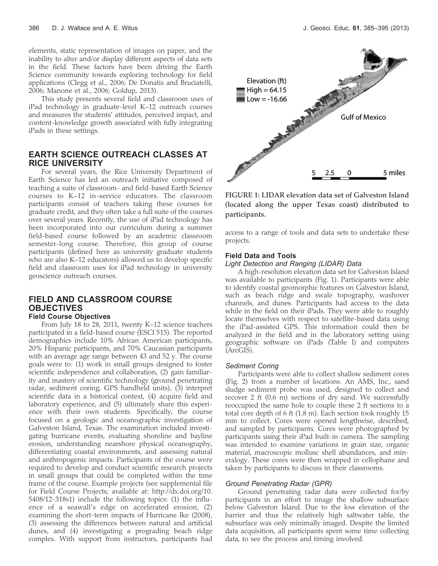elements, static representation of images on paper, and the inability to alter and/or display different aspects of data sets in the field. These factors have been driving the Earth Science community towards exploring technology for field applications (Clegg et al., 2006; De Donatis and Bruciatelli, 2006; Manone et al., 2006; Goldup, 2013).

This study presents several field and classroom uses of iPad technology in graduate-level K–12 outreach courses and measures the students' attitudes, perceived impact, and content-knowledge growth associated with fully integrating iPads in these settings.

# EARTH SCIENCE OUTREACH CLASSES AT RICE UNIVERSITY

For several years, the Rice University Department of Earth Science has led an outreach initiative composed of teaching a suite of classroom- and field-based Earth Science courses to K–12 in-service educators. The classroom participants consist of teachers taking these courses for graduate credit, and they often take a full suite of the courses over several years. Recently, the use of iPad technology has been incorporated into our curriculum during a summer field-based course followed by an academic classroom semester-long course. Therefore, this group of course participants (defined here as university graduate students who are also K–12 educators) allowed us to develop specific field and classroom uses for iPad technology in university geoscience outreach courses.

# FIELD AND CLASSROOM COURSE **OBJECTIVES** Field Course Objectives

From July 18 to 28, 2011, twenty K–12 science teachers participated in a field-based course (ESCI 515). The reported demographics include 10% African American participants, 20% Hispanic participants, and 70% Caucasian participants with an average age range between 43 and 52 y. The course goals were to: (1) work in small groups designed to foster scientific independence and collaboration, (2) gain familiarity and mastery of scientific technology (ground penetrating radar, sediment coring, GPS handheld units), (3) interpret scientific data in a historical context, (4) acquire field and laboratory experience, and (5) ultimately share this experience with their own students. Specifically, the course focused on a geologic and oceanographic investigation of Galveston Island, Texas. The examination included investigating hurricane events, evaluating shoreline and bayline erosion, understanding nearshore physical oceanography, differentiating coastal environments, and assessing natural and anthropogenic impacts. Participants of the course were required to develop and conduct scientific research projects in small groups that could be completed within the time frame of the course. Example projects (see supplemental file for Field Course Projects; available at: http://dx.doi.org/10. 5408/12-318s1) include the following topics: (1) the influence of a seawall's edge on accelerated erosion, (2) examining the short-term impacts of Hurricane Ike (2008), (3) assessing the differences between natural and artificial dunes, and (4) investigating a prograding beach ridge complex. With support from instructors, participants had



FIGURE 1: LIDAR elevation data set of Galveston Island (located along the upper Texas coast) distributed to participants.

access to a range of tools and data sets to undertake these projects.

### Field Data and Tools

### Light Detection and Ranging (LIDAR) Data

A high-resolution elevation data set for Galveston Island was available to participants (Fig. 1). Participants were able to identify coastal geomorphic features on Galveston Island, such as beach ridge and swale topography, washover channels, and dunes. Participants had access to the data while in the field on their iPads. They were able to roughly locate themselves with respect to satellite-based data using the iPad-assisted GPS. This information could then be analyzed in the field and in the laboratory setting using geographic software on iPads (Table I) and computers (ArcGIS).

### Sediment Coring

Participants were able to collect shallow sediment cores (Fig. 2) from a number of locations. An AMS, Inc., sand sludge sediment probe was used, designed to collect and recover 2 ft (0.6 m) sections of dry sand. We successfully reoccupied the same hole to couple these 2 ft sections to a total core depth of 6 ft (1.8 m). Each section took roughly 15 min to collect. Cores were opened lengthwise, described, and sampled by participants. Cores were photographed by participants using their iPad built-in camera. The sampling was intended to examine variations in grain size, organic material, macroscopic mollusc shell abundances, and mineralogy. These cores were then wrapped in cellophane and taken by participants to discuss in their classrooms.

### Ground Penetrating Radar (GPR)

Ground penetrating radar data were collected for/by participants in an effort to image the shallow subsurface below Galveston Island. Due to the low elevation of the barrier and thus the relatively high saltwater table, the subsurface was only minimally imaged. Despite the limited data acquisition, all participants spent some time collecting data, to see the process and timing involved.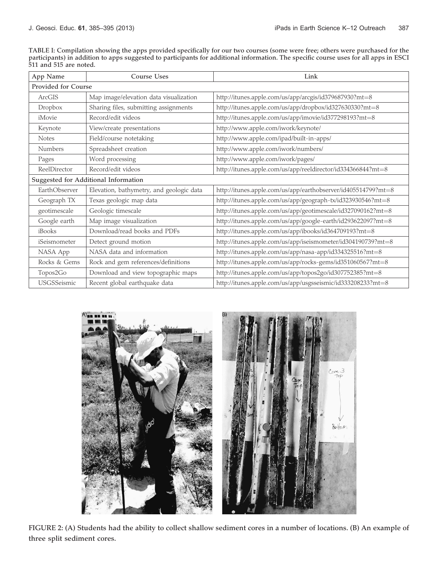TABLE I: Compilation showing the apps provided specifically for our two courses (some were free; others were purchased for the participants) in addition to apps suggested to participants for additional information. The specific course uses for all apps in ESCI 511 and 515 are noted.

| App Name                             | <b>Course Uses</b>                       | Link                                                          |  |
|--------------------------------------|------------------------------------------|---------------------------------------------------------------|--|
| Provided for Course                  |                                          |                                                               |  |
| ArcGIS                               | Map image/elevation data visualization   | http://itunes.apple.com/us/app/arcgis/id379687930?mt=8        |  |
| Dropbox                              | Sharing files, submitting assignments    | http://itunes.apple.com/us/app/dropbox/id327630330?mt=8       |  |
| iMovie                               | Record/edit videos                       | http://itunes.apple.com/us/app/imovie/id377298193?mt=8        |  |
| Keynote                              | View/create presentations                | http://www.apple.com/iwork/keynote/                           |  |
| <b>Notes</b>                         | Field/course notetaking                  | http://www.apple.com/ipad/built-in-apps/                      |  |
| Numbers                              | Spreadsheet creation                     | http://www.apple.com/iwork/numbers/                           |  |
| Pages                                | Word processing                          | http://www.apple.com/iwork/pages/                             |  |
| ReelDirector                         | Record/edit videos                       | http://itunes.apple.com/us/app/reeldirector/id334366844?mt=8  |  |
| Suggested for Additional Information |                                          |                                                               |  |
| EarthObserver                        | Elevation, bathymetry, and geologic data | http://itunes.apple.com/us/app/earthobserver/id405514799?mt=8 |  |
| Geograph TX                          | Texas geologic map data                  | http://itunes.apple.com/us/app/geograph-tx/id323930546?mt=8   |  |
| geotimescale                         | Geologic timescale                       | http://itunes.apple.com/us/app/geotimescale/id327090162?mt=8  |  |
| Google earth                         | Map image visualization                  | http://itunes.apple.com/us/app/google-earth/id293622097?mt=8  |  |
| iBooks                               | Download/read books and PDFs             | http://itunes.apple.com/us/app/ibooks/id364709193?mt=8        |  |
| iSeismometer                         | Detect ground motion                     | http://itunes.apple.com/us/app/iseismometer/id304190739?mt=8  |  |
| NASA App                             | NASA data and information                | http://itunes.apple.com/us/app/nasa-app/id334325516?mt=8      |  |
| Rocks & Gems                         | Rock and gem references/definitions      | http://itunes.apple.com/us/app/rocks-gems/id351060567?mt=8    |  |
| Topos2Go                             | Download and view topographic maps       | http://itunes.apple.com/us/app/topos2go/id307752385?mt=8      |  |
| USGSSeismic                          | Recent global earthquake data            | http://itunes.apple.com/us/app/usgsseismic/id333208233?mt=8   |  |



FIGURE 2: (A) Students had the ability to collect shallow sediment cores in a number of locations. (B) An example of three split sediment cores.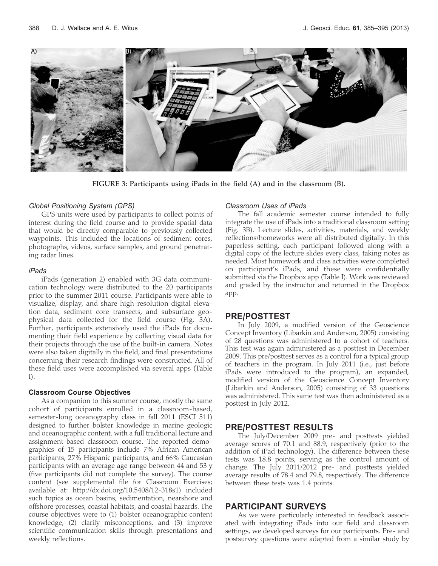

FIGURE 3: Participants using iPads in the field (A) and in the classroom (B).

### Global Positioning System (GPS)

GPS units were used by participants to collect points of interest during the field course and to provide spatial data that would be directly comparable to previously collected waypoints. This included the locations of sediment cores, photographs, videos, surface samples, and ground penetrating radar lines.

### iPads

iPads (generation 2) enabled with 3G data communication technology were distributed to the 20 participants prior to the summer 2011 course. Participants were able to visualize, display, and share high-resolution digital elevation data, sediment core transects, and subsurface geophysical data collected for the field course (Fig. 3A). Further, participants extensively used the iPads for documenting their field experience by collecting visual data for their projects through the use of the built-in camera. Notes were also taken digitally in the field, and final presentations concerning their research findings were constructed. All of these field uses were accomplished via several apps (Table I).

### Classroom Course Objectives

As a companion to this summer course, mostly the same cohort of participants enrolled in a classroom-based, semester-long oceanography class in fall 2011 (ESCI 511) designed to further bolster knowledge in marine geologic and oceanographic content, with a full traditional lecture and assignment-based classroom course. The reported demographics of 15 participants include 7% African American participants, 27% Hispanic participants, and 66% Caucasian participants with an average age range between 44 and 53 y (five participants did not complete the survey). The course content (see supplemental file for Classroom Exercises; available at: http://dx.doi.org/10.5408/12-318s1) included such topics as ocean basins, sedimentation, nearshore and offshore processes, coastal habitats, and coastal hazards. The course objectives were to (1) bolster oceanographic content knowledge, (2) clarify misconceptions, and (3) improve scientific communication skills through presentations and weekly reflections.

### Classroom Uses of iPads

The fall academic semester course intended to fully integrate the use of iPads into a traditional classroom setting (Fig. 3B). Lecture slides, activities, materials, and weekly reflections/homeworks were all distributed digitally. In this paperless setting, each participant followed along with a digital copy of the lecture slides every class, taking notes as needed. Most homework and class activities were completed on participant's iPads, and these were confidentially submitted via the Dropbox app (Table I). Work was reviewed and graded by the instructor and returned in the Dropbox app.

# PRE/POSTTEST

In July 2009, a modified version of the Geoscience Concept Inventory (Libarkin and Anderson, 2005) consisting of 28 questions was administered to a cohort of teachers. This test was again administered as a posttest in December 2009. This pre/posttest serves as a control for a typical group of teachers in the program. In July 2011 (i.e., just before iPads were introduced to the program), an expanded, modified version of the Geoscience Concept Inventory (Libarkin and Anderson, 2005) consisting of 33 questions was administered. This same test was then administered as a posttest in July 2012.

# PRE/POSTTEST RESULTS

The July/December 2009 pre- and posttests yielded average scores of 70.1 and 88.9, respectively (prior to the addition of iPad technology). The difference between these tests was 18.8 points, serving as the control amount of change. The July 2011/2012 pre- and posttests yielded average results of 78.4 and 79.8, respectively. The difference between these tests was 1.4 points.

### PARTICIPANT SURVEYS

As we were particularly interested in feedback associated with integrating iPads into our field and classroom settings, we developed surveys for our participants. Pre- and postsurvey questions were adapted from a similar study by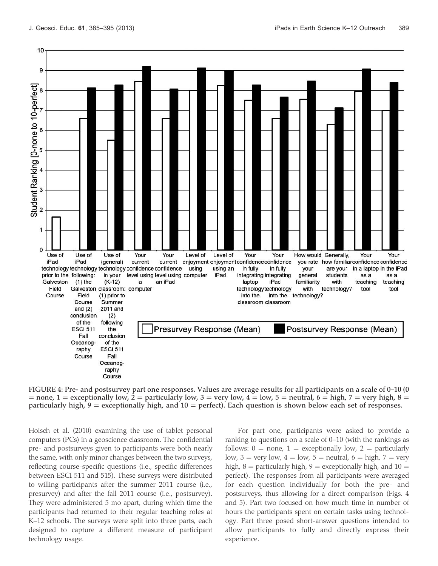

FIGURE 4: Pre- and postsurvey part one responses. Values are average results for all participants on a scale of 0–10 (0  $=$  none, 1 = exceptionally low, 2 = particularly low, 3 = very low, 4 = low, 5 = neutral, 6 = high, 7 = very high, 8 = particularly high,  $9 =$  exceptionally high, and  $10 =$  perfect). Each question is shown below each set of responses.

Hoisch et al. (2010) examining the use of tablet personal computers (PCs) in a geoscience classroom. The confidential pre- and postsurveys given to participants were both nearly the same, with only minor changes between the two surveys, reflecting course-specific questions (i.e., specific differences between ESCI 511 and 515). These surveys were distributed to willing participants after the summer 2011 course (i.e., presurvey) and after the fall 2011 course (i.e., postsurvey). They were administered 5 mo apart, during which time the participants had returned to their regular teaching roles at K–12 schools. The surveys were split into three parts, each designed to capture a different measure of participant technology usage.

For part one, participants were asked to provide a ranking to questions on a scale of 0–10 (with the rankings as follows:  $0 =$  none,  $1 =$  exceptionally low,  $2 =$  particularly low,  $3 = \text{very low}, 4 = \text{low}, 5 = \text{neutral}, 6 = \text{high}, 7 = \text{very}$ high,  $8 =$  particularly high,  $9 =$  exceptionally high, and  $10 =$ perfect). The responses from all participants were averaged for each question individually for both the pre- and postsurveys, thus allowing for a direct comparison (Figs. 4 and 5). Part two focused on how much time in number of hours the participants spent on certain tasks using technology. Part three posed short-answer questions intended to allow participants to fully and directly express their experience.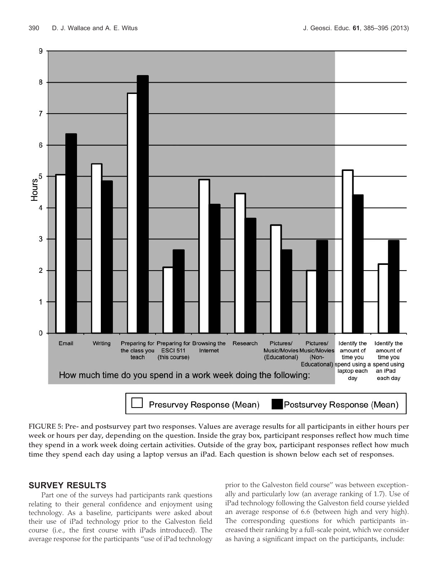



FIGURE 5: Pre- and postsurvey part two responses. Values are average results for all participants in either hours per week or hours per day, depending on the question. Inside the gray box, participant responses reflect how much time they spend in a work week doing certain activities. Outside of the gray box, participant responses reflect how much time they spend each day using a laptop versus an iPad. Each question is shown below each set of responses.

# SURVEY RESULTS

Part one of the surveys had participants rank questions relating to their general confidence and enjoyment using technology. As a baseline, participants were asked about their use of iPad technology prior to the Galveston field course (i.e., the first course with iPads introduced). The average response for the participants ''use of iPad technology prior to the Galveston field course'' was between exceptionally and particularly low (an average ranking of 1.7). Use of iPad technology following the Galveston field course yielded an average response of 6.6 (between high and very high). The corresponding questions for which participants increased their ranking by a full-scale point, which we consider as having a significant impact on the participants, include: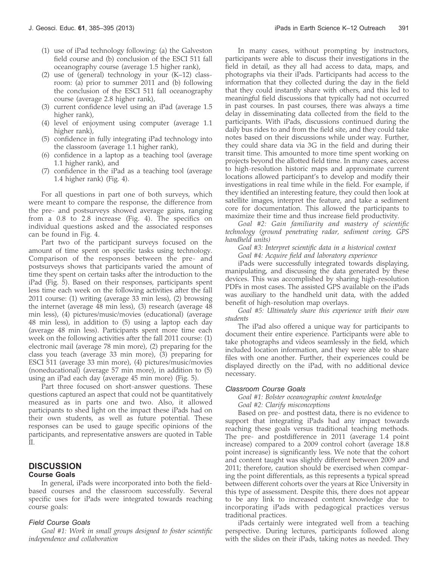- (1) use of iPad technology following: (a) the Galveston field course and (b) conclusion of the ESCI 511 fall oceanography course (average 1.5 higher rank),
- (2) use of (general) technology in your (K–12) classroom: (a) prior to summer 2011 and (b) following the conclusion of the ESCI 511 fall oceanography course (average 2.8 higher rank),
- (3) current confidence level using an iPad (average 1.5 higher rank),
- (4) level of enjoyment using computer (average 1.1 higher rank),
- (5) confidence in fully integrating iPad technology into the classroom (average 1.1 higher rank),
- (6) confidence in a laptop as a teaching tool (average 1.1 higher rank), and
- (7) confidence in the iPad as a teaching tool (average 1.4 higher rank) (Fig. 4).

For all questions in part one of both surveys, which were meant to compare the response, the difference from the pre- and postsurveys showed average gains, ranging from a 0.8 to 2.8 increase (Fig. 4). The specifics on individual questions asked and the associated responses can be found in Fig. 4.

Part two of the participant surveys focused on the amount of time spent on specific tasks using technology. Comparison of the responses between the pre- and postsurveys shows that participants varied the amount of time they spent on certain tasks after the introduction to the iPad (Fig. 5). Based on their responses, participants spent less time each week on the following activities after the fall 2011 course: (1) writing (average 33 min less), (2) browsing the internet (average 48 min less), (3) research (average 48 min less), (4) pictures/music/movies (educational) (average 48 min less), in addition to (5) using a laptop each day (average 48 min less). Participants spent more time each week on the following activities after the fall 2011 course: (1) electronic mail (average 78 min more), (2) preparing for the class you teach (average 33 min more), (3) preparing for ESCI 511 (average 33 min more), (4) pictures/music/movies (noneducational) (average 57 min more), in addition to (5) using an iPad each day (average 45 min more) (Fig. 5).

Part three focused on short-answer questions. These questions captured an aspect that could not be quantitatively measured as in parts one and two. Also, it allowed participants to shed light on the impact these iPads had on their own students, as well as future potential. These responses can be used to gauge specific opinions of the participants, and representative answers are quoted in Table II.

# **DISCUSSION**

### Course Goals

In general, iPads were incorporated into both the fieldbased courses and the classroom successfully. Several specific uses for iPads were integrated towards reaching course goals:

### Field Course Goals

Goal #1: Work in small groups designed to foster scientific independence and collaboration

In many cases, without prompting by instructors, participants were able to discuss their investigations in the field in detail, as they all had access to data, maps, and photographs via their iPads. Participants had access to the information that they collected during the day in the field that they could instantly share with others, and this led to meaningful field discussions that typically had not occurred in past courses. In past courses, there was always a time delay in disseminating data collected from the field to the participants. With iPads, discussions continued during the daily bus rides to and from the field site, and they could take notes based on their discussions while under way. Further, they could share data via 3G in the field and during their transit time. This amounted to more time spent working on projects beyond the allotted field time. In many cases, access to high-resolution historic maps and approximate current locations allowed participant's to develop and modify their investigations in real time while in the field. For example, if they identified an interesting feature, they could then look at satellite images, interpret the feature, and take a sediment core for documentation. This allowed the participants to maximize their time and thus increase field productivity.

Goal #2: Gain familiarity and mastery of scientific technology (ground penetrating radar, sediment coring, GPS handheld units)

Goal #3: Interpret scientific data in a historical context Goal #4: Acquire field and laboratory experience

iPads were successfully integrated towards displaying, manipulating, and discussing the data generated by these devices. This was accomplished by sharing high-resolution PDFs in most cases. The assisted GPS available on the iPads was auxiliary to the handheld unit data, with the added benefit of high-resolution map overlays.

Goal #5: Ultimately share this experience with their own students

The iPad also offered a unique way for participants to document their entire experience. Participants were able to take photographs and videos seamlessly in the field, which included location information, and they were able to share files with one another. Further, their experiences could be displayed directly on the iPad, with no additional device necessary.

### Classroom Course Goals

Goal #1: Bolster oceanographic content knowledge Goal #2: Clarify misconceptions

Based on pre- and posttest data, there is no evidence to support that integrating iPads had any impact towards reaching these goals versus traditional teaching methods. The pre- and postdifference in 2011 (average 1.4 point increase) compared to a 2009 control cohort (average 18.8 point increase) is significantly less. We note that the cohort and content taught was slightly different between 2009 and 2011; therefore, caution should be exercised when comparing the point differentials, as this represents a typical spread between different cohorts over the years at Rice University in this type of assessment. Despite this, there does not appear to be any link to increased content knowledge due to incorporating iPads with pedagogical practices versus traditional practices.

iPads certainly were integrated well from a teaching perspective. During lectures, participants followed along with the slides on their iPads, taking notes as needed. They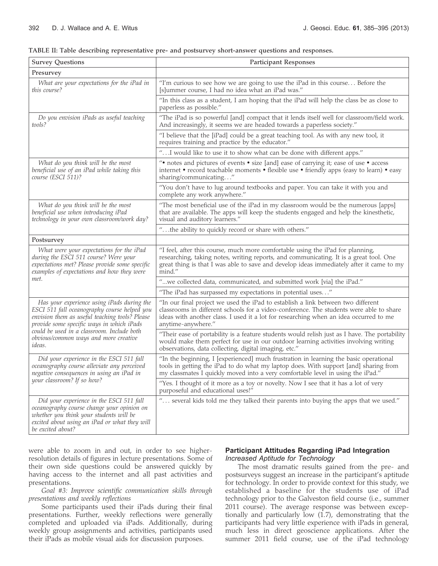| TABLE II: Table describing representative pre- and postsurvey short-answer questions and responses. |  |  |
|-----------------------------------------------------------------------------------------------------|--|--|
|-----------------------------------------------------------------------------------------------------|--|--|

| <b>Survey Questions</b>                                                                                                                                                                                 | <b>Participant Responses</b>                                                                                                                                                                                                                                                               |
|---------------------------------------------------------------------------------------------------------------------------------------------------------------------------------------------------------|--------------------------------------------------------------------------------------------------------------------------------------------------------------------------------------------------------------------------------------------------------------------------------------------|
| Presurvey                                                                                                                                                                                               |                                                                                                                                                                                                                                                                                            |
| What are your expectations for the iPad in<br>this course?                                                                                                                                              | "I'm curious to see how we are going to use the iPad in this course Before the<br>[s]ummer course, I had no idea what an iPad was."                                                                                                                                                        |
|                                                                                                                                                                                                         | "In this class as a student, I am hoping that the iPad will help the class be as close to<br>paperless as possible."                                                                                                                                                                       |
| Do you envision iPads as useful teaching<br>tools?                                                                                                                                                      | "The iPad is so powerful [and] compact that it lends itself well for classroom/field work.<br>And increasingly, it seems we are headed towards a paperless society."                                                                                                                       |
|                                                                                                                                                                                                         | "I believe that the [iPad] could be a great teaching tool. As with any new tool, it<br>requires training and practice by the educator."                                                                                                                                                    |
|                                                                                                                                                                                                         | " I would like to use it to show what can be done with different apps."                                                                                                                                                                                                                    |
| What do you think will be the most<br>beneficial use of an iPad while taking this<br>course (ESCI 511)?                                                                                                 | ". notes and pictures of events . size [and] ease of carrying it; ease of use . access<br>internet • record teachable moments • flexible use • friendly apps (easy to learn) • easy<br>sharing/communicating"                                                                              |
|                                                                                                                                                                                                         | "You don't have to lug around textbooks and paper. You can take it with you and<br>complete any work anywhere."                                                                                                                                                                            |
| What do you think will be the most<br>beneficial use when introducing iPad<br>technology in your own classroom/work day?                                                                                | "The most beneficial use of the iPad in my classroom would be the numerous [apps]<br>that are available. The apps will keep the students engaged and help the kinesthetic,<br>visual and auditory learners."                                                                               |
|                                                                                                                                                                                                         | "the ability to quickly record or share with others."                                                                                                                                                                                                                                      |
| Postsurvey                                                                                                                                                                                              |                                                                                                                                                                                                                                                                                            |
| What were your expectations for the iPad<br>during the ESCI 511 course? Were your<br>expectations met? Please provide some specific<br>examples of expectations and how they were                       | "I feel, after this course, much more comfortable using the iPad for planning,<br>researching, taking notes, writing reports, and communicating. It is a great tool. One<br>great thing is that I was able to save and develop ideas immediately after it came to my<br>mind."             |
| met.                                                                                                                                                                                                    | "we collected data, communicated, and submitted work [via] the iPad."                                                                                                                                                                                                                      |
|                                                                                                                                                                                                         | "The iPad has surpassed my expectations in potential uses"                                                                                                                                                                                                                                 |
| Has your experience using iPads during the<br>ESCI 511 fall oceanography course helped you<br>envision them as useful teaching tools? Please<br>provide some specific ways in which iPads               | "In our final project we used the iPad to establish a link between two different<br>classrooms in different schools for a video-conference. The students were able to share<br>ideas with another class. I used it a lot for researching when an idea occurred to me<br>anytime-anywhere." |
| could be used in a classroom. Include both<br>obvious/common ways and more creative<br>ideas.                                                                                                           | "Their ease of portability is a feature students would relish just as I have. The portability<br>would make them perfect for use in our outdoor learning activities involving writing<br>observations, data collecting, digital imaging, etc."                                             |
| Did your experience in the ESCI 511 fall<br>oceanography course alleviate any perceived<br>negative consequences in using an iPad in                                                                    | "In the beginning, I [experienced] much frustration in learning the basic operational<br>tools in getting the iPad to do what my laptop does. With support [and] sharing from<br>my classmates I quickly moved into a very comfortable level in using the iPad."                           |
| your classroom? If so how?                                                                                                                                                                              | "Yes. I thought of it more as a toy or novelty. Now I see that it has a lot of very<br>purposeful and educational uses!"                                                                                                                                                                   |
| Did your experience in the ESCI 511 fall<br>oceanography course change your opinion on<br>whether you think your students will be<br>excited about using an iPad or what they will<br>be excited about? | " several kids told me they talked their parents into buying the apps that we used."                                                                                                                                                                                                       |

were able to zoom in and out, in order to see higherresolution details of figures in lecture presentations. Some of their own side questions could be answered quickly by having access to the internet and all past activities and presentations.

Goal #3: Improve scientific communication skills through presentations and weekly reflections

Some participants used their iPads during their final presentations. Further, weekly reflections were generally completed and uploaded via iPads. Additionally, during weekly group assignments and activities, participants used their iPads as mobile visual aids for discussion purposes.

# Participant Attitudes Regarding iPad Integration Increased Aptitude for Technology

The most dramatic results gained from the pre- and postsurveys suggest an increase in the participant's aptitude for technology. In order to provide context for this study, we established a baseline for the students use of iPad technology prior to the Galveston field course (i.e., summer 2011 course). The average response was between exceptionally and particularly low (1.7), demonstrating that the participants had very little experience with iPads in general, much less in direct geoscience applications. After the summer 2011 field course, use of the iPad technology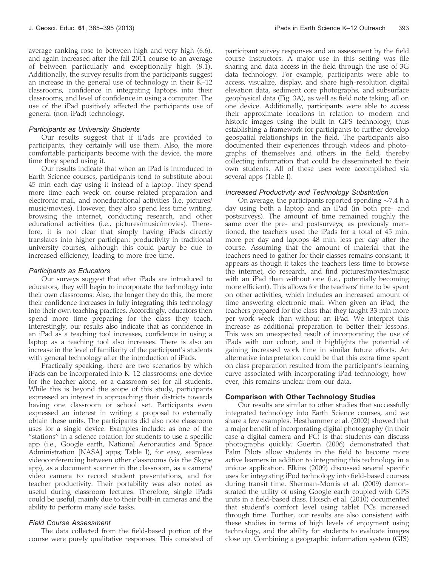average ranking rose to between high and very high (6.6), and again increased after the fall 2011 course to an average of between particularly and exceptionally high (8.1). Additionally, the survey results from the participants suggest an increase in the general use of technology in their K–12 classrooms, confidence in integrating laptops into their classrooms, and level of confidence in using a computer. The use of the iPad positively affected the participants use of general (non-iPad) technology.

### Participants as University Students

Our results suggest that if iPads are provided to participants, they certainly will use them. Also, the more comfortable participants become with the device, the more time they spend using it.

Our results indicate that when an iPad is introduced to Earth Science courses, participants tend to substitute about 45 min each day using it instead of a laptop. They spend more time each week on course-related preparation and electronic mail, and noneducational activities (i.e. pictures/ music/movies). However, they also spend less time writing, browsing the internet, conducting research, and other educational activities (i.e., pictures/music/movies). Therefore, it is not clear that simply having iPads directly translates into higher participant productivity in traditional university courses, although this could partly be due to increased efficiency, leading to more free time.

### Participants as Educators

Our surveys suggest that after iPads are introduced to educators, they will begin to incorporate the technology into their own classrooms. Also, the longer they do this, the more their confidence increases in fully integrating this technology into their own teaching practices. Accordingly, educators then spend more time preparing for the class they teach. Interestingly, our results also indicate that as confidence in an iPad as a teaching tool increases, confidence in using a laptop as a teaching tool also increases. There is also an increase in the level of familiarity of the participant's students with general technology after the introduction of iPads.

Practically speaking, there are two scenarios by which iPads can be incorporated into K–12 classrooms: one device for the teacher alone, or a classroom set for all students. While this is beyond the scope of this study, participants expressed an interest in approaching their districts towards having one classroom or school set. Participants even expressed an interest in writing a proposal to externally obtain these units. The participants did also note classroom uses for a single device. Examples include: as one of the "stations" in a science rotation for students to use a specific app (i.e., Google earth, National Aeronautics and Space Administration [NASA] apps; Table I), for easy, seamless videoconferencing between other classrooms (via the Skype app), as a document scanner in the classroom, as a camera/ video camera to record student presentations, and for teacher productivity. Their portability was also noted as useful during classroom lectures. Therefore, single iPads could be useful, mainly due to their built-in cameras and the ability to perform many side tasks.

# Field Course Assessment

The data collected from the field-based portion of the course were purely qualitative responses. This consisted of participant survey responses and an assessment by the field course instructors. A major use in this setting was file sharing and data access in the field through the use of 3G data technology. For example, participants were able to access, visualize, display, and share high-resolution digital elevation data, sediment core photographs, and subsurface geophysical data (Fig. 3A), as well as field note taking, all on one device. Additionally, participants were able to access their approximate locations in relation to modern and historic images using the built in GPS technology, thus establishing a framework for participants to further develop geospatial relationships in the field. The participants also documented their experiences through videos and photographs of themselves and others in the field, thereby collecting information that could be disseminated to their own students. All of these uses were accomplished via several apps (Table I).

### Increased Productivity and Technology Substitution

On average, the participants reported spending  $\sim$ 7.4 h a day using both a laptop and an iPad (in both pre- and postsurveys). The amount of time remained roughly the same over the pre- and postsurveys; as previously mentioned, the teachers used the iPads for a total of 45 min. more per day and laptops 48 min. less per day after the course. Assuming that the amount of material that the teachers need to gather for their classes remains constant, it appears as though it takes the teachers less time to browse the internet, do research, and find pictures/movies/music with an iPad than without one (i.e., potentially becoming more efficient). This allows for the teachers' time to be spent on other activities, which includes an increased amount of time answering electronic mail. When given an iPad, the teachers prepared for the class that they taught 33 min more per work week than without an iPad. We interpret this increase as additional preparation to better their lessons. This was an unexpected result of incorporating the use of iPads with our cohort, and it highlights the potential of gaining increased work time in similar future efforts. An alternative interpretation could be that this extra time spent on class preparation resulted from the participant's learning curve associated with incorporating iPad technology; however, this remains unclear from our data.

### Comparison with Other Technology Studies

Our results are similar to other studies that successfully integrated technology into Earth Science courses, and we share a few examples. Hesthammer et al. (2002) showed that a major benefit of incorporating digital photography (in their case a digital camera and PC) is that students can discuss photographs quickly. Guertin (2006) demonstrated that Palm Pilots allow students in the field to become more active learners in addition to integrating this technology in a unique application. Elkins (2009) discussed several specific uses for integrating iPod technology into field-based courses during transit time. Sherman-Morris et al. (2009) demonstrated the utility of using Google earth coupled with GPS units in a field-based class. Hoisch et al. (2010) documented that student's comfort level using tablet PCs increased through time. Further, our results are also consistent with these studies in terms of high levels of enjoyment using technology, and the ability for students to evaluate images close up. Combining a geographic information system (GIS)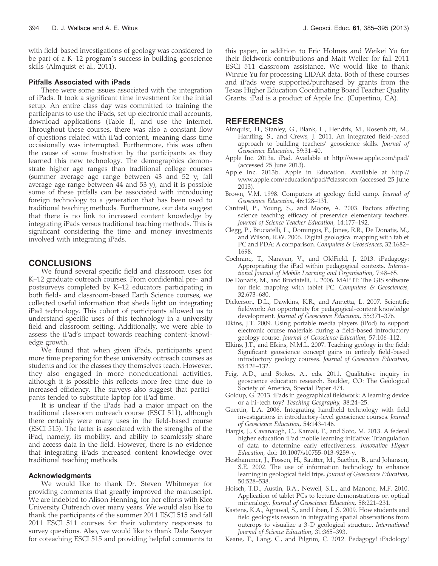with field-based investigations of geology was considered to be part of a K–12 program's success in building geoscience skills (Almquist et al., 2011).

#### Pitfalls Associated with iPads

There were some issues associated with the integration of iPads. It took a significant time investment for the initial setup. An entire class day was committed to training the participants to use the iPads, set up electronic mail accounts, download applications (Table I), and use the internet. Throughout these courses, there was also a constant flow of questions related with iPad content, meaning class time occasionally was interrupted. Furthermore, this was often the cause of some frustration by the participants as they learned this new technology. The demographics demonstrate higher age ranges than traditional college courses (summer average age range between 43 and 52 y; fall average age range between 44 and 53 y), and it is possible some of these pitfalls can be associated with introducing foreign technology to a generation that has been used to traditional teaching methods. Furthermore, our data suggest that there is no link to increased content knowledge by integrating iPads versus traditional teaching methods. This is significant considering the time and money investments involved with integrating iPads.

# **CONCLUSIONS**

We found several specific field and classroom uses for K–12 graduate outreach courses. From confidential pre- and postsurveys completed by K–12 educators participating in both field- and classroom-based Earth Science courses, we collected useful information that sheds light on integrating iPad technology. This cohort of participants allowed us to understand specific uses of this technology in a university field and classroom setting. Additionally, we were able to assess the iPad's impact towards reaching content-knowledge growth.

We found that when given iPads, participants spent more time preparing for these university outreach courses as students and for the classes they themselves teach. However, they also engaged in more noneducational activities, although it is possible this reflects more free time due to increased efficiency. The surveys also suggest that participants tended to substitute laptop for iPad time.

It is unclear if the iPads had a major impact on the traditional classroom outreach course (ESCI 511), although there certainly were many uses in the field-based course (ESCI 515). The latter is associated with the strengths of the iPad, namely, its mobility, and ability to seamlessly share and access data in the field. However, there is no evidence that integrating iPads increased content knowledge over traditional teaching methods.

#### Acknowledgments

We would like to thank Dr. Steven Whitmeyer for providing comments that greatly improved the manuscript. We are indebted to Alison Henning, for her efforts with Rice University Outreach over many years. We would also like to thank the participants of the summer 2011 ESCI 515 and fall 2011 ESCI 511 courses for their voluntary responses to survey questions. Also, we would like to thank Dale Sawyer for coteaching ESCI 515 and providing helpful comments to

this paper, in addition to Eric Holmes and Weikei Yu for their fieldwork contributions and Matt Weller for fall 2011 ESCI 511 classroom assistance. We would like to thank Winnie Yu for processing LIDAR data. Both of these courses and iPads were supported/purchased by grants from the Texas Higher Education Coordinating Board Teacher Quality Grants. iPad is a product of Apple Inc. (Cupertino, CA).

### REFERENCES

- Almquist, H., Stanley, G., Blank, L., Hendrix, M., Rosenblatt, M., Hanfling, S., and Crews, J. 2011. An integrated field-based approach to building teachers' geoscience skills. Journal of Geoscience Education, 59:31–40.
- Apple Inc. 2013a. iPad. Available at http://www.apple.com/ipad/ (accessed 25 June 2013).
- Apple Inc. 2013b. Apple in Education. Available at http:// www.apple.com/education/ipad/#classroom (accessed 25 June 2013).
- Brown, V.M. 1998. Computers at geology field camp. Journal of Geoscience Education, 46:128–131.
- Cantrell, P., Young, S., and Moore, A. 2003. Factors affecting science teaching efficacy of preservice elementary teachers. Journal of Science Teacher Education, 14:177–192.
- Clegg, P., Bruciatelli, L., Domingos, F., Jones, R.R., De Donatis, M., and Wilson, R.W. 2006. Digital geological mapping with tablet PC and PDA: A comparison. Computers & Geosciences, 32:1682– 1698.
- Cochrane, T., Narayan, V., and OldField, J. 2013. iPadagogy: Appropriating the iPad within pedagogical contexts. International Journal of Mobile Learning and Organisation, 7:48–65.
- De Donatis, M., and Bruciatelli, L. 2006. MAP IT: The GIS software for field mapping with tablet PC. Computers  $\mathcal{E}$  Geosciences, 32:673–680.
- Dickerson, D.L., Dawkins, K.R., and Annetta, L. 2007. Scientific fieldwork: An opportunity for pedagogical-content knowledge development. Journal of Geoscience Education, 55:371–376.
- Elkins, J.T. 2009. Using portable media players (iPod) to support electronic course materials during a field-based introductory geology course. Journal of Geoscience Education, 57:106–112.
- Elkins, J.T., and Elkins, N.M.L. 2007. Teaching geology in the field: Significant geoscience concept gains in entirely field-based introductory geology courses. Journal of Geoscience Education, 55:126–132.
- Feig, A.D., and Stokes, A., eds. 2011. Qualitative inquiry in geoscience education research. Boulder, CO: The Geological Society of America, Special Paper 474.
- Goldup, G. 2013. iPads in geographical fieldwork: A learning device or a hi-tech toy? Teaching Geography, 38:24–25.
- Guertin, L.A. 2006. Integrating handheld technology with field investigations in introductory-level geoscience courses. Journal of Geoscience Education, 54:143–146.
- Hargis, J., Cavanaugh, C., Kamali, T., and Soto, M. 2013. A federal higher education iPad mobile learning initiative: Triangulation of data to determine early effectiveness. Innovative Higher Education, doi: 10.1007/s10755-013-9259-y.
- Hesthammer, J., Fossen, H., Sautter, M., Saether, B., and Johansen, S.E. 2002. The use of information technology to enhance learning in geological field trips. Journal of Geoscience Education, 50:528–538.
- Hoisch, T.D., Austin, B.A., Newell, S.L., and Manone, M.F. 2010. Application of tablet PCs to lecture demonstrations on optical mineralogy. Journal of Geoscience Education, 58:221–231.
- Kastens, K.A., Agrawal, S., and Liben, L.S. 2009. How students and field geologists reason in integrating spatial observations from outcrops to visualize a 3-D geological structure. International Journal of Science Education, 31:365–393.
- Keane, T., Lang, C., and Pilgrim, C. 2012. Pedagogy! iPadology!